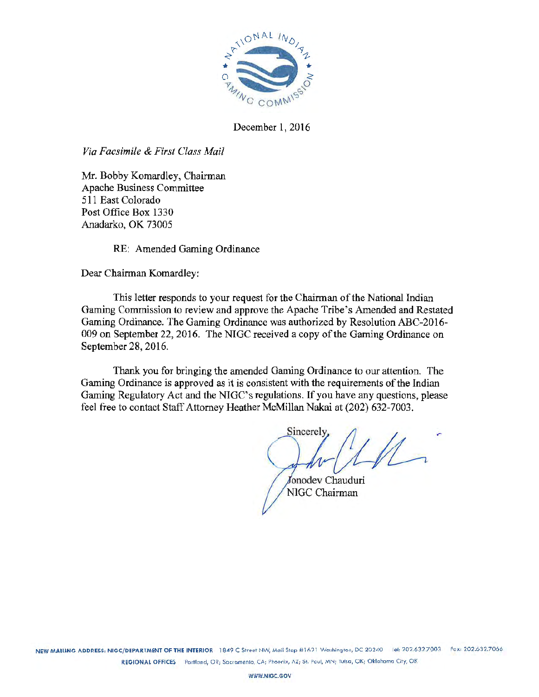

December 1, 2016

*Via Facsimile & First Class Mail* 

Mr. Bobby Komardley, Chairman Apache Business Committee 511 East Colorado Post Office Box 1330 Anadarko, OK 73005

RE: Amended Gaming Ordinance

Dear Chairman Komardley:

This letter responds to your request for the Chairman of the National Indian Gaming Commission to review and approve the Apache Tribe's Amended and Restated Gaming Ordinance. The Gaming Ordinance was authorized by Resolution ABC-2016- 009 on September 22, 2016. The NIGC received a copy of the Gaming Ordinance on September 28, 2016.

Thank you for bringing the amended Gaming Ordinance to our attention. The Gaming Ordinance is approved as it is consistent with the requirements of the Indian Gaming Regulatory Act and the NIGC's regulations. If you have any questions, please feel free to contact Staff Attorney Heather McMillan Nakai at (202) 632-7003.

Sincerely

Jonodev Chauduri NIGC Chairman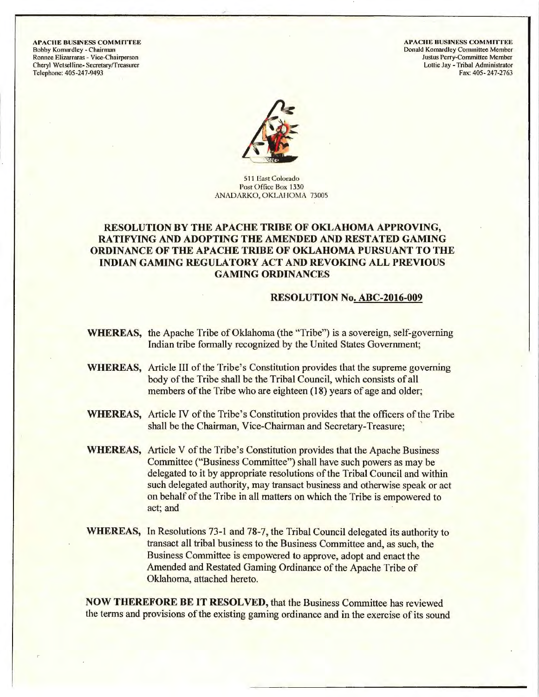**APACHE BUSINESS COMMITTEE** Bobby Komardley - Chairman Ronnee Elizarraras - Vice-Chairperson Cheryl Wetselline- Secretary/Treasurer Telephone: 405-247-9493

**APACHE BUSINESS COMMITTEE** Donald Komardlcy Committee Member Justus Perry-Committee Member Lottie Jay -Tribal Administrator Fax: 405- 247-2763



511 East Colorado Post Office Box 1330 ANADARKO, OKLAHOMA 73005

# **RESOLUTION BY THE APACHE TRIBE OF OKLAHOMA APPROVING, RATIFYING AND ADOPTING THE AMENDED AND RESTATED GAMING ORDINANCE OF THE APACHE TRIBE OF OKLAHOMA PURSUANT TO THE**  INDIAN **GAMING REGULATORY ACT AND REVOKING ALL PREVIOUS GAMING ORDINANCES**

#### **RESOLUTION No. ABC-2016-009**

- **WHEREAS,** the Apache Tribe of Oklahoma (the "Tribe") is a sovereign, self-governing Indian tribe formally recognized by the United States Goverrunent;
- **WHEREAS,** Article III of the Tribe's Constitution provides that the supreme governing body of the Tribe shall be the Tribal Council, which consists of all members of the Tribe who are eighteen (18) years of age and older;
- **WHEREAS,** Article IV of the Tribe's Constitution provides that the officers of the Tribe shall be the Chairman, Vice-Chairman and Secretary-Treasure;
- **WHEREAS,** Article V of the Tribe's Constitution provides that the Apache Business Committee ("Business Committee") shall have such powers as may be delegated to it by appropriate resolutions of the Tribal Council and within such delegated authority, may transact business and otherwise speak or act on behalf of the Tribe in all matters on which the Tribe is empowered to act; and
- **WHEREAS,** In Resolutions 73-l and 78-7, the Tribal Council delegated its authority to transact all tribal business to the Business Committee and, as such, the Business Committee is empowered to approve, adopt and enact the Amended and Restated Gaming Ordinance of the Apache Tribe of Oklahoma, attached hereto.

**NOW THEREFORE BE IT RESOLVED,** that the Business Committee has reviewed the terms and provisions of the existing gaming ordinance and in the exercise of its sound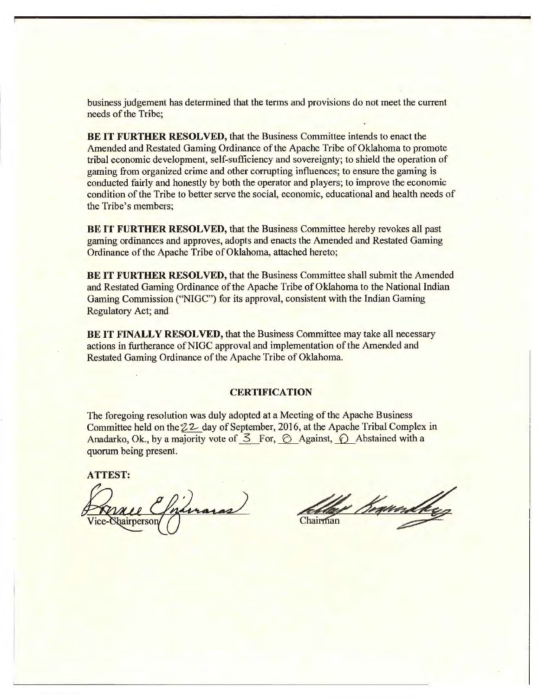business judgement has determined that the terms and provisions do not meet the current needs of the Tribe;

**BE IT FURTHER RESOLVED,** that the Business Committee intends to enact the Amended and Restated Gaming Ordinance of the Apache Tribe of Oklahoma to promote tribal economic development, self-sufficiency and sovereignty; to shield the operation of gaming from organized crime and other corrupting influences; to ensure the gaming is conducted fairly and honestly by both the operator and players; to improve the economic condition of the Tribe to better serve the social, economic, educational and health needs of the Tribe's members;

**BE IT FURTHER RESOLVED,** that the Business Committee hereby revokes all past gaming ordinances and approves, adopts and enacts the Amended and Restated Gaming Ordinance of the Apache Tribe of Oklahoma, attached hereto;

**BE IT FURTHER RESOLVED,** that the Business Committee shall submit the Amended and Restated Gaming Ordinance of the Apache Tribe of Oklahoma to the National Indian Gaming Commission (''NIGC") for its approval, consistent with the Indian Gaming Regulatory Act; and

**BE IT FINALLY RESOLVED, that the Business Committee may take all necessary** actions in furtherance ofNIGC approval and implementation of the Amended and Restated Gaming Ordinance of the Apache Tribe of Oklahoma.

#### **CERTIFICATION**

The foregoing resolution was duly adopted at a Meeting of the Apache Business Committee held on the22- day of September, 2016, at the Apache Tribal Complex in Anadarko, Ok., by a majority vote of  $\leq$  For,  $\odot$  Against,  $\odot$  Abstained with a quorum being present.

**ATTEST:** 

Vice-Shairperson

1 Kegund Chairman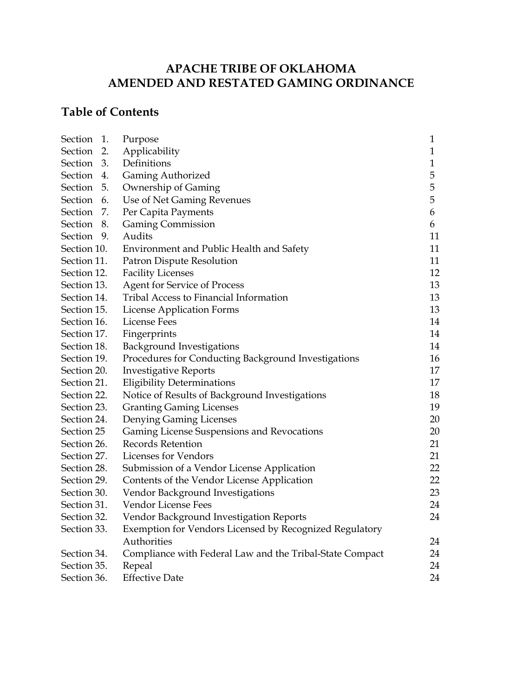# **APACHE TRIBE OF OKLAHOMA AMENDED AND RESTATED GAMING ORDINANCE**

# **Table of Contents**

| Section 1.  |    | Purpose                                                  | 1            |
|-------------|----|----------------------------------------------------------|--------------|
| Section 2.  |    | Applicability                                            | $\mathbf{1}$ |
| Section 3.  |    | Definitions                                              | $\mathbf{1}$ |
| Section 4.  |    | <b>Gaming Authorized</b>                                 | 5            |
| Section 5.  |    | Ownership of Gaming                                      | 5            |
| Section 6.  |    | Use of Net Gaming Revenues                               | 5            |
| Section     | 7. | Per Capita Payments                                      | 6            |
| Section     | 8. | <b>Gaming Commission</b>                                 | 6            |
| Section 9.  |    | Audits                                                   | 11           |
| Section 10. |    | Environment and Public Health and Safety                 | 11           |
| Section 11. |    | Patron Dispute Resolution                                | 11           |
| Section 12. |    | <b>Facility Licenses</b>                                 | 12           |
| Section 13. |    | <b>Agent for Service of Process</b>                      | 13           |
| Section 14. |    | <b>Tribal Access to Financial Information</b>            | 13           |
| Section 15. |    | License Application Forms                                | 13           |
| Section 16. |    | <b>License Fees</b>                                      | 14           |
| Section 17. |    | Fingerprints                                             | 14           |
| Section 18. |    | <b>Background Investigations</b>                         | 14           |
| Section 19. |    | Procedures for Conducting Background Investigations      | 16           |
| Section 20. |    | <b>Investigative Reports</b>                             | 17           |
| Section 21. |    | <b>Eligibility Determinations</b>                        | 17           |
| Section 22. |    | Notice of Results of Background Investigations           | 18           |
| Section 23. |    | <b>Granting Gaming Licenses</b>                          | 19           |
| Section 24. |    | Denying Gaming Licenses                                  | 20           |
| Section 25  |    | Gaming License Suspensions and Revocations               | 20           |
| Section 26. |    | <b>Records Retention</b>                                 | 21           |
| Section 27. |    | Licenses for Vendors                                     | 21           |
| Section 28. |    | Submission of a Vendor License Application               | 22           |
| Section 29. |    | Contents of the Vendor License Application               | 22           |
| Section 30. |    | Vendor Background Investigations                         | 23           |
| Section 31. |    | Vendor License Fees                                      | 24           |
| Section 32. |    | Vendor Background Investigation Reports                  | 24           |
| Section 33. |    | Exemption for Vendors Licensed by Recognized Regulatory  |              |
|             |    | Authorities                                              | 24           |
| Section 34. |    | Compliance with Federal Law and the Tribal-State Compact | 24           |
| Section 35. |    | Repeal                                                   | 24           |
| Section 36. |    | <b>Effective Date</b>                                    | 24           |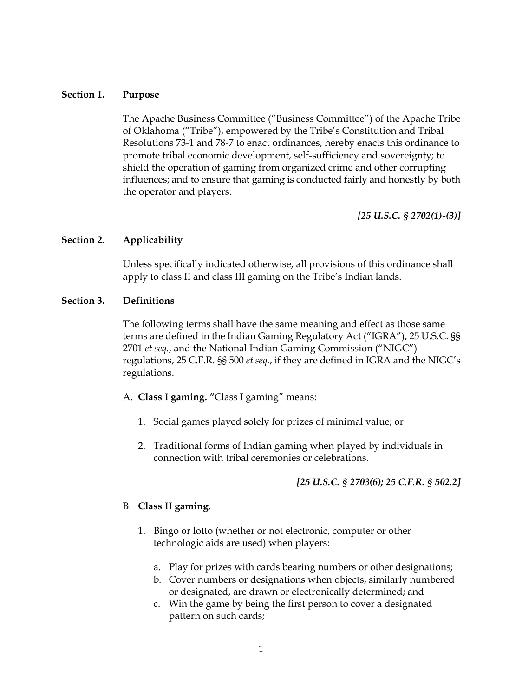#### **Section 1. Purpose**

The Apache Business Committee ("Business Committee") of the Apache Tribe of Oklahoma ("Tribe"), empowered by the Tribe's Constitution and Tribal Resolutions 73-1 and 78-7 to enact ordinances, hereby enacts this ordinance to promote tribal economic development, self-sufficiency and sovereignty; to shield the operation of gaming from organized crime and other corrupting influences; and to ensure that gaming is conducted fairly and honestly by both the operator and players.

*[25 U.S.C. § 2702(1)-(3)]* 

# **Section 2. Applicability**

Unless specifically indicated otherwise, all provisions of this ordinance shall apply to class II and class III gaming on the Tribe's Indian lands.

#### **Section 3. Definitions**

The following terms shall have the same meaning and effect as those same terms are defined in the Indian Gaming Regulatory Act ("IGRA"), 25 U.S.C. §§ 2701 *et seq.*, and the National Indian Gaming Commission ("NIGC") regulations, 25 C.F.R. §§ 500 *et seq.*, if they are defined in IGRA and the NIGC's regulations.

- A. **Class I gaming. "**Class I gaming" means:
	- 1. Social games played solely for prizes of minimal value; or
	- 2. Traditional forms of Indian gaming when played by individuals in connection with tribal ceremonies or celebrations.

*[25 U.S.C. § 2703(6); 25 C.F.R. § 502.2]*

#### B. **Class II gaming.**

- 1. Bingo or lotto (whether or not electronic, computer or other technologic aids are used) when players:
	- a. Play for prizes with cards bearing numbers or other designations;
	- b. Cover numbers or designations when objects, similarly numbered or designated, are drawn or electronically determined; and
	- c. Win the game by being the first person to cover a designated pattern on such cards;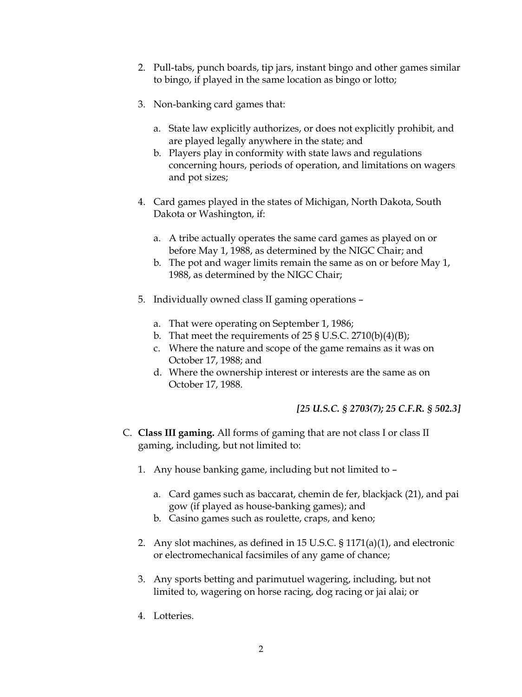- 2. Pull-tabs, punch boards, tip jars, instant bingo and other games similar to bingo, if played in the same location as bingo or lotto;
- 3. Non-banking card games that:
	- a. State law explicitly authorizes, or does not explicitly prohibit, and are played legally anywhere in the state; and
	- b. Players play in conformity with state laws and regulations concerning hours, periods of operation, and limitations on wagers and pot sizes;
- 4. Card games played in the states of Michigan, North Dakota, South Dakota or Washington, if:
	- a. A tribe actually operates the same card games as played on or before May 1, 1988, as determined by the NIGC Chair; and
	- b. The pot and wager limits remain the same as on or before May 1, 1988, as determined by the NIGC Chair;
- 5. Individually owned class II gaming operations
	- a. That were operating on September 1, 1986;
	- b. That meet the requirements of  $25 \text{ }\frac{\text{S}}{\text{S}}$  U.S.C.  $2710(b)(4)(B);$
	- c. Where the nature and scope of the game remains as it was on October 17, 1988; and
	- d. Where the ownership interest or interests are the same as on October 17, 1988.

# *[25 U.S.C. § 2703(7); 25 C.F.R. § 502.3]*

- C. **Class III gaming.** All forms of gaming that are not class I or class II gaming, including, but not limited to:
	- 1. Any house banking game, including but not limited to
		- a. Card games such as baccarat, chemin de fer, blackjack (21), and pai gow (if played as house-banking games); and
		- b. Casino games such as roulette, craps, and keno;
	- 2. Any slot machines, as defined in 15 U.S.C. § 1171(a)(1), and electronic or electromechanical facsimiles of any game of chance;
	- 3. Any sports betting and parimutuel wagering, including, but not limited to, wagering on horse racing, dog racing or jai alai; or
	- 4. Lotteries.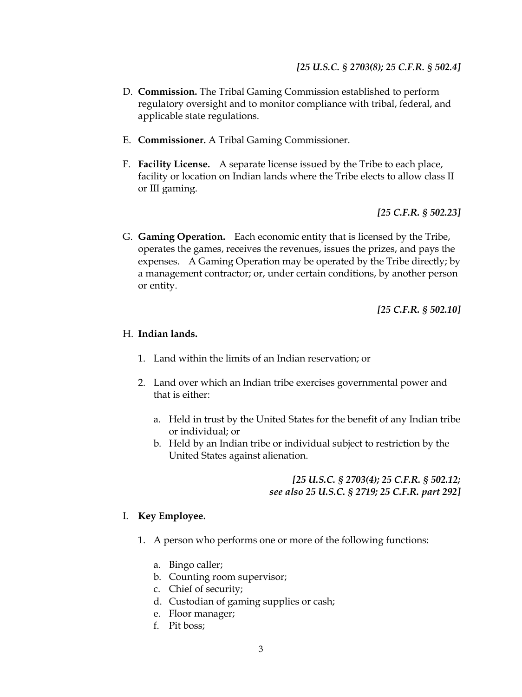- D. **Commission.** The Tribal Gaming Commission established to perform regulatory oversight and to monitor compliance with tribal, federal, and applicable state regulations.
- E. **Commissioner.** A Tribal Gaming Commissioner.
- F. **Facility License.** A separate license issued by the Tribe to each place, facility or location on Indian lands where the Tribe elects to allow class II or III gaming.

*[25 C.F.R. § 502.23]* 

G. **Gaming Operation.** Each economic entity that is licensed by the Tribe, operates the games, receives the revenues, issues the prizes, and pays the expenses. A Gaming Operation may be operated by the Tribe directly; by a management contractor; or, under certain conditions, by another person or entity.

*[25 C.F.R. § 502.10]* 

#### H. **Indian lands.**

- 1. Land within the limits of an Indian reservation; or
- 2. Land over which an Indian tribe exercises governmental power and that is either:
	- a. Held in trust by the United States for the benefit of any Indian tribe or individual; or
	- b. Held by an Indian tribe or individual subject to restriction by the United States against alienation.

#### *[25 U.S.C. § 2703(4); 25 C.F.R. § 502.12; see also 25 U.S.C. § 2719; 25 C.F.R. part 292]*

#### I. **Key Employee.**

- 1. A person who performs one or more of the following functions:
	- a. Bingo caller;
	- b. Counting room supervisor;
	- c. Chief of security;
	- d. Custodian of gaming supplies or cash;
	- e. Floor manager;
	- f. Pit boss;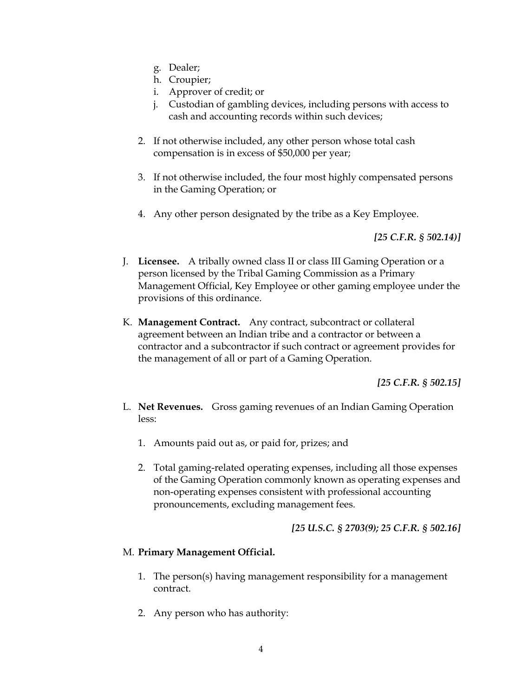- g. Dealer;
- h. Croupier;
- i. Approver of credit; or
- j. Custodian of gambling devices, including persons with access to cash and accounting records within such devices;
- 2. If not otherwise included, any other person whose total cash compensation is in excess of \$50,000 per year;
- 3. If not otherwise included, the four most highly compensated persons in the Gaming Operation; or
- 4. Any other person designated by the tribe as a Key Employee.

*[25 C.F.R. § 502.14)]* 

- J. **Licensee.** A tribally owned class II or class III Gaming Operation or a person licensed by the Tribal Gaming Commission as a Primary Management Official, Key Employee or other gaming employee under the provisions of this ordinance.
- K. **Management Contract.** Any contract, subcontract or collateral agreement between an Indian tribe and a contractor or between a contractor and a subcontractor if such contract or agreement provides for the management of all or part of a Gaming Operation.

*[25 C.F.R. § 502.15]* 

- L. **Net Revenues.** Gross gaming revenues of an Indian Gaming Operation less:
	- 1. Amounts paid out as, or paid for, prizes; and
	- 2. Total gaming-related operating expenses, including all those expenses of the Gaming Operation commonly known as operating expenses and non-operating expenses consistent with professional accounting pronouncements, excluding management fees.

*[25 U.S.C. § 2703(9); 25 C.F.R. § 502.16]* 

# M. **Primary Management Official.**

- 1. The person(s) having management responsibility for a management contract.
- 2. Any person who has authority: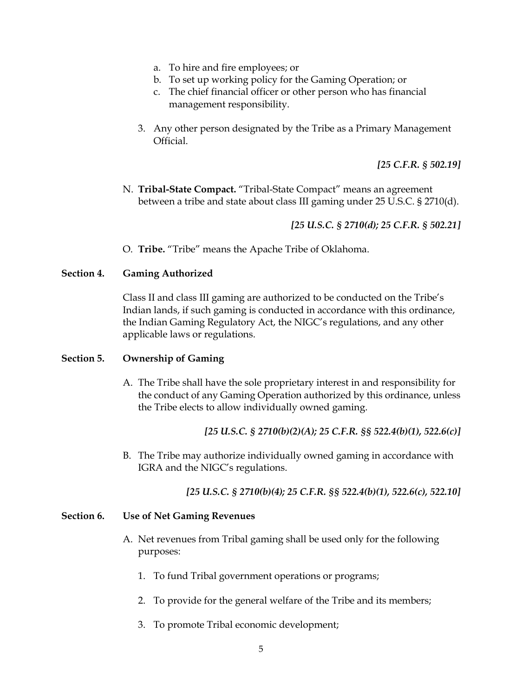- a. To hire and fire employees; or
- b. To set up working policy for the Gaming Operation; or
- c. The chief financial officer or other person who has financial management responsibility.
- 3. Any other person designated by the Tribe as a Primary Management Official.

*[25 C.F.R. § 502.19]* 

N. **Tribal-State Compact.** "Tribal-State Compact" means an agreement between a tribe and state about class III gaming under 25 U.S.C. § 2710(d).

*[25 U.S.C. § 2710(d); 25 C.F.R. § 502.21]*

O. **Tribe.** "Tribe" means the Apache Tribe of Oklahoma.

#### **Section 4. Gaming Authorized**

Class II and class III gaming are authorized to be conducted on the Tribe's Indian lands, if such gaming is conducted in accordance with this ordinance, the Indian Gaming Regulatory Act, the NIGC's regulations, and any other applicable laws or regulations.

#### **Section 5. Ownership of Gaming**

A. The Tribe shall have the sole proprietary interest in and responsibility for the conduct of any Gaming Operation authorized by this ordinance, unless the Tribe elects to allow individually owned gaming.

*[25 U.S.C. § 2710(b)(2)(A); 25 C.F.R. §§ 522.4(b)(1), 522.6(c)]*

B. The Tribe may authorize individually owned gaming in accordance with IGRA and the NIGC's regulations.

*[25 U.S.C. § 2710(b)(4); 25 C.F.R. §§ 522.4(b)(1), 522.6(c), 522.10]* 

#### **Section 6. Use of Net Gaming Revenues**

- A. Net revenues from Tribal gaming shall be used only for the following purposes:
	- 1. To fund Tribal government operations or programs;
	- 2. To provide for the general welfare of the Tribe and its members;
	- 3. To promote Tribal economic development;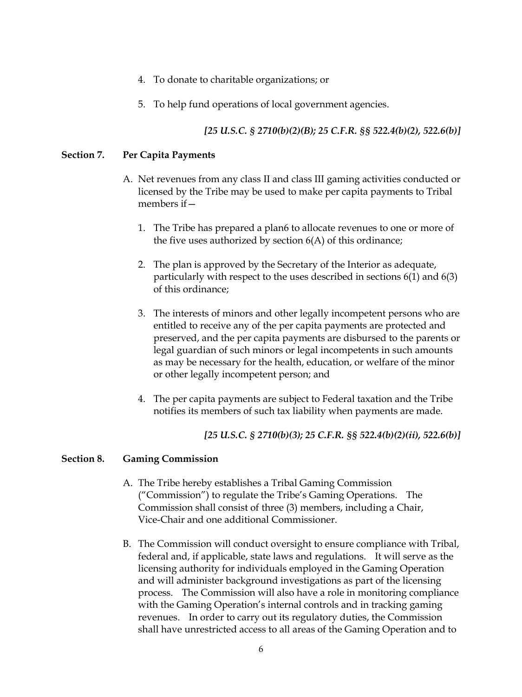- 4. To donate to charitable organizations; or
- 5. To help fund operations of local government agencies.

# *[25 U.S.C. § 2710(b)(2)(B); 25 C.F.R. §§ 522.4(b)(2), 522.6(b)]*

### **Section 7. Per Capita Payments**

- A. Net revenues from any class II and class III gaming activities conducted or licensed by the Tribe may be used to make per capita payments to Tribal members if—
	- 1. The Tribe has prepared a plan6 to allocate revenues to one or more of the five uses authorized by section 6(A) of this ordinance;
	- 2. The plan is approved by the Secretary of the Interior as adequate, particularly with respect to the uses described in sections 6(1) and 6(3) of this ordinance;
	- 3. The interests of minors and other legally incompetent persons who are entitled to receive any of the per capita payments are protected and preserved, and the per capita payments are disbursed to the parents or legal guardian of such minors or legal incompetents in such amounts as may be necessary for the health, education, or welfare of the minor or other legally incompetent person; and
	- 4. The per capita payments are subject to Federal taxation and the Tribe notifies its members of such tax liability when payments are made.

*[25 U.S.C. § 2710(b)(3); 25 C.F.R. §§ 522.4(b)(2)(ii), 522.6(b)]* 

#### **Section 8. Gaming Commission**

- A. The Tribe hereby establishes a Tribal Gaming Commission ("Commission") to regulate the Tribe's Gaming Operations. The Commission shall consist of three (3) members, including a Chair, Vice-Chair and one additional Commissioner.
- B. The Commission will conduct oversight to ensure compliance with Tribal, federal and, if applicable, state laws and regulations. It will serve as the licensing authority for individuals employed in the Gaming Operation and will administer background investigations as part of the licensing process. The Commission will also have a role in monitoring compliance with the Gaming Operation's internal controls and in tracking gaming revenues. In order to carry out its regulatory duties, the Commission shall have unrestricted access to all areas of the Gaming Operation and to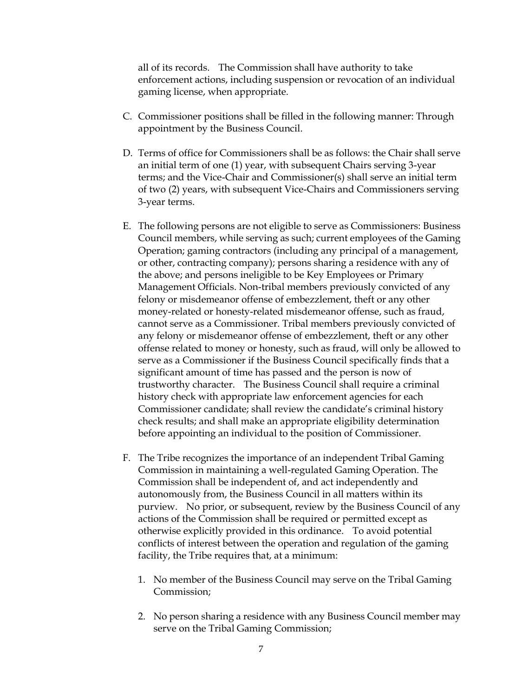all of its records. The Commission shall have authority to take enforcement actions, including suspension or revocation of an individual gaming license, when appropriate.

- C. Commissioner positions shall be filled in the following manner: Through appointment by the Business Council.
- D. Terms of office for Commissioners shall be as follows: the Chair shall serve an initial term of one (1) year, with subsequent Chairs serving 3-year terms; and the Vice-Chair and Commissioner(s) shall serve an initial term of two (2) years, with subsequent Vice-Chairs and Commissioners serving 3-year terms.
- E. The following persons are not eligible to serve as Commissioners: Business Council members, while serving as such; current employees of the Gaming Operation; gaming contractors (including any principal of a management, or other, contracting company); persons sharing a residence with any of the above; and persons ineligible to be Key Employees or Primary Management Officials. Non-tribal members previously convicted of any felony or misdemeanor offense of embezzlement, theft or any other money-related or honesty-related misdemeanor offense, such as fraud, cannot serve as a Commissioner. Tribal members previously convicted of any felony or misdemeanor offense of embezzlement, theft or any other offense related to money or honesty, such as fraud, will only be allowed to serve as a Commissioner if the Business Council specifically finds that a significant amount of time has passed and the person is now of trustworthy character. The Business Council shall require a criminal history check with appropriate law enforcement agencies for each Commissioner candidate; shall review the candidate's criminal history check results; and shall make an appropriate eligibility determination before appointing an individual to the position of Commissioner.
- F. The Tribe recognizes the importance of an independent Tribal Gaming Commission in maintaining a well-regulated Gaming Operation. The Commission shall be independent of, and act independently and autonomously from, the Business Council in all matters within its purview. No prior, or subsequent, review by the Business Council of any actions of the Commission shall be required or permitted except as otherwise explicitly provided in this ordinance. To avoid potential conflicts of interest between the operation and regulation of the gaming facility, the Tribe requires that, at a minimum:
	- 1. No member of the Business Council may serve on the Tribal Gaming Commission;
	- 2. No person sharing a residence with any Business Council member may serve on the Tribal Gaming Commission;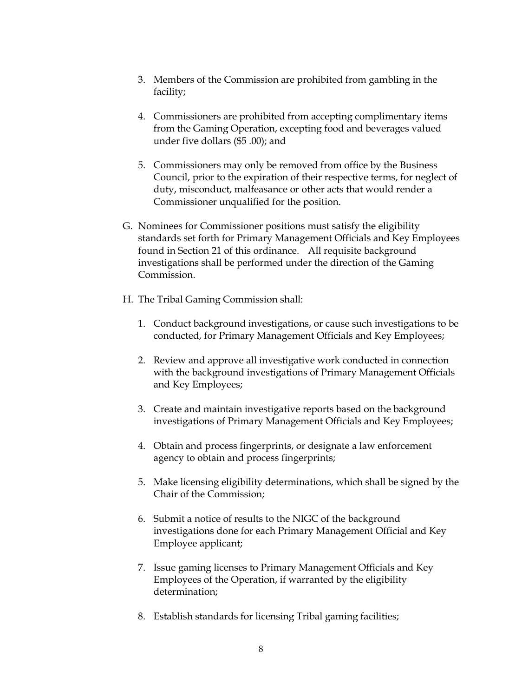- 3. Members of the Commission are prohibited from gambling in the facility;
- 4. Commissioners are prohibited from accepting complimentary items from the Gaming Operation, excepting food and beverages valued under five dollars (\$5 .00); and
- 5. Commissioners may only be removed from office by the Business Council, prior to the expiration of their respective terms, for neglect of duty, misconduct, malfeasance or other acts that would render a Commissioner unqualified for the position.
- G. Nominees for Commissioner positions must satisfy the eligibility standards set forth for Primary Management Officials and Key Employees found in Section 21 of this ordinance. All requisite background investigations shall be performed under the direction of the Gaming Commission.
- H. The Tribal Gaming Commission shall:
	- 1. Conduct background investigations, or cause such investigations to be conducted, for Primary Management Officials and Key Employees;
	- 2. Review and approve all investigative work conducted in connection with the background investigations of Primary Management Officials and Key Employees;
	- 3. Create and maintain investigative reports based on the background investigations of Primary Management Officials and Key Employees;
	- 4. Obtain and process fingerprints, or designate a law enforcement agency to obtain and process fingerprints;
	- 5. Make licensing eligibility determinations, which shall be signed by the Chair of the Commission;
	- 6. Submit a notice of results to the NIGC of the background investigations done for each Primary Management Official and Key Employee applicant;
	- 7. Issue gaming licenses to Primary Management Officials and Key Employees of the Operation, if warranted by the eligibility determination;
	- 8. Establish standards for licensing Tribal gaming facilities;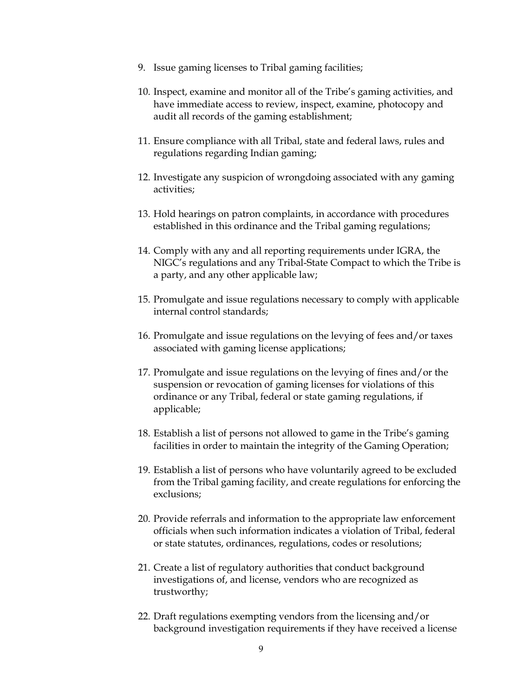- 9. Issue gaming licenses to Tribal gaming facilities;
- 10. Inspect, examine and monitor all of the Tribe's gaming activities, and have immediate access to review, inspect, examine, photocopy and audit all records of the gaming establishment;
- 11. Ensure compliance with all Tribal, state and federal laws, rules and regulations regarding Indian gaming;
- 12. Investigate any suspicion of wrongdoing associated with any gaming activities;
- 13. Hold hearings on patron complaints, in accordance with procedures established in this ordinance and the Tribal gaming regulations;
- 14. Comply with any and all reporting requirements under IGRA, the NIGC's regulations and any Tribal-State Compact to which the Tribe is a party, and any other applicable law;
- 15. Promulgate and issue regulations necessary to comply with applicable internal control standards;
- 16. Promulgate and issue regulations on the levying of fees and/or taxes associated with gaming license applications;
- 17. Promulgate and issue regulations on the levying of fines and/or the suspension or revocation of gaming licenses for violations of this ordinance or any Tribal, federal or state gaming regulations, if applicable;
- 18. Establish a list of persons not allowed to game in the Tribe's gaming facilities in order to maintain the integrity of the Gaming Operation;
- 19. Establish a list of persons who have voluntarily agreed to be excluded from the Tribal gaming facility, and create regulations for enforcing the exclusions;
- 20. Provide referrals and information to the appropriate law enforcement officials when such information indicates a violation of Tribal, federal or state statutes, ordinances, regulations, codes or resolutions;
- 21. Create a list of regulatory authorities that conduct background investigations of, and license, vendors who are recognized as trustworthy;
- 22. Draft regulations exempting vendors from the licensing and/or background investigation requirements if they have received a license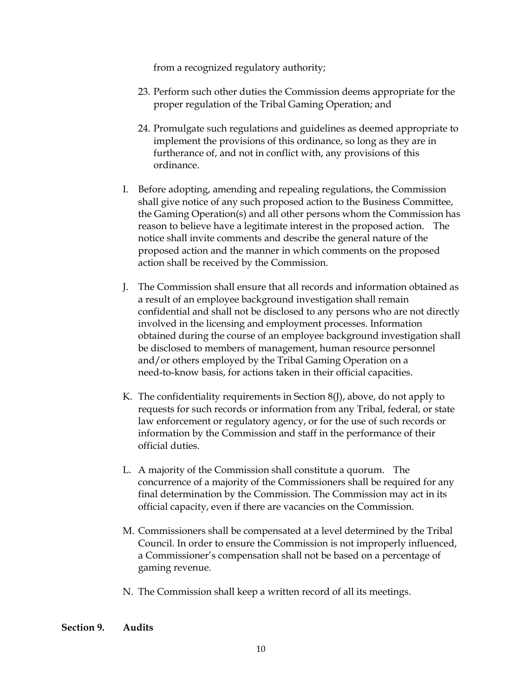from a recognized regulatory authority;

- 23. Perform such other duties the Commission deems appropriate for the proper regulation of the Tribal Gaming Operation; and
- 24. Promulgate such regulations and guidelines as deemed appropriate to implement the provisions of this ordinance, so long as they are in furtherance of, and not in conflict with, any provisions of this ordinance.
- I. Before adopting, amending and repealing regulations, the Commission shall give notice of any such proposed action to the Business Committee, the Gaming Operation(s) and all other persons whom the Commission has reason to believe have a legitimate interest in the proposed action. The notice shall invite comments and describe the general nature of the proposed action and the manner in which comments on the proposed action shall be received by the Commission.
- J. The Commission shall ensure that all records and information obtained as a result of an employee background investigation shall remain confidential and shall not be disclosed to any persons who are not directly involved in the licensing and employment processes. Information obtained during the course of an employee background investigation shall be disclosed to members of management, human resource personnel and/or others employed by the Tribal Gaming Operation on a need-to-know basis, for actions taken in their official capacities.
- K. The confidentiality requirements in Section  $8($ f $)$ , above, do not apply to requests for such records or information from any Tribal, federal, or state law enforcement or regulatory agency, or for the use of such records or information by the Commission and staff in the performance of their official duties.
- L. A majority of the Commission shall constitute a quorum. The concurrence of a majority of the Commissioners shall be required for any final determination by the Commission. The Commission may act in its official capacity, even if there are vacancies on the Commission.
- M. Commissioners shall be compensated at a level determined by the Tribal Council. In order to ensure the Commission is not improperly influenced, a Commissioner's compensation shall not be based on a percentage of gaming revenue.
- N. The Commission shall keep a written record of all its meetings.
- **Section 9. Audits**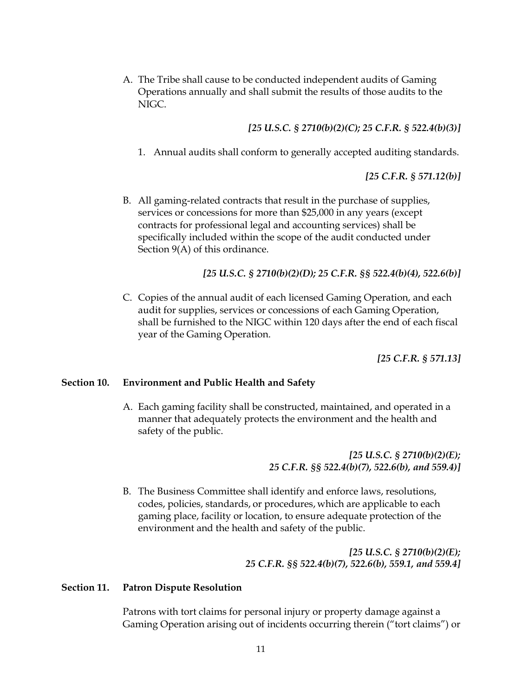A. The Tribe shall cause to be conducted independent audits of Gaming Operations annually and shall submit the results of those audits to the NIGC.

*[25 U.S.C. § 2710(b)(2)(C); 25 C.F.R. § 522.4(b)(3)]* 

1. Annual audits shall conform to generally accepted auditing standards.

*[25 C.F.R. § 571.12(b)]*

B. All gaming-related contracts that result in the purchase of supplies, services or concessions for more than \$25,000 in any years (except contracts for professional legal and accounting services) shall be specifically included within the scope of the audit conducted under Section 9(A) of this ordinance.

*[25 U.S.C. § 2710(b)(2)(D); 25 C.F.R. §§ 522.4(b)(4), 522.6(b)]* 

C. Copies of the annual audit of each licensed Gaming Operation, and each audit for supplies, services or concessions of each Gaming Operation, shall be furnished to the NIGC within 120 days after the end of each fiscal year of the Gaming Operation.

*[25 C.F.R. § 571.13]* 

#### **Section 10. Environment and Public Health and Safety**

A. Each gaming facility shall be constructed, maintained, and operated in a manner that adequately protects the environment and the health and safety of the public.

> *[25 U.S.C. § 2710(b)(2)(E); 25 C.F.R. §§ 522.4(b)(7), 522.6(b), and 559.4)]*

B. The Business Committee shall identify and enforce laws, resolutions, codes, policies, standards, or procedures, which are applicable to each gaming place, facility or location, to ensure adequate protection of the environment and the health and safety of the public.

> *[25 U.S.C. § 2710(b)(2)(E); 25 C.F.R. §§ 522.4(b)(7), 522.6(b), 559.1, and 559.4]*

#### **Section 11. Patron Dispute Resolution**

Patrons with tort claims for personal injury or property damage against a Gaming Operation arising out of incidents occurring therein ("tort claims") or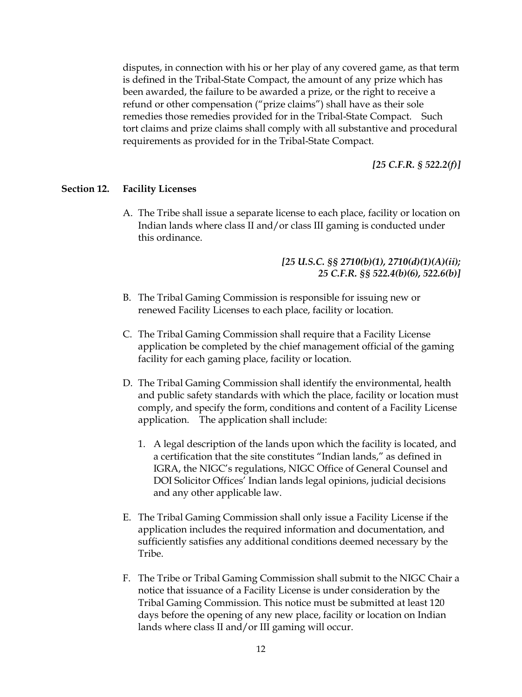disputes, in connection with his or her play of any covered game, as that term is defined in the Tribal-State Compact, the amount of any prize which has been awarded, the failure to be awarded a prize, or the right to receive a refund or other compensation ("prize claims") shall have as their sole remedies those remedies provided for in the Tribal-State Compact. Such tort claims and prize claims shall comply with all substantive and procedural requirements as provided for in the Tribal-State Compact.

*[25 C.F.R. § 522.2(f)]* 

#### **Section 12. Facility Licenses**

A. The Tribe shall issue a separate license to each place, facility or location on Indian lands where class II and/or class III gaming is conducted under this ordinance.

# *[25 U.S.C. §§ 2710(b)(1), 2710(d)(1)(A)(ii); 25 C.F.R. §§ 522.4(b)(6), 522.6(b)]*

- B. The Tribal Gaming Commission is responsible for issuing new or renewed Facility Licenses to each place, facility or location.
- C. The Tribal Gaming Commission shall require that a Facility License application be completed by the chief management official of the gaming facility for each gaming place, facility or location.
- D. The Tribal Gaming Commission shall identify the environmental, health and public safety standards with which the place, facility or location must comply, and specify the form, conditions and content of a Facility License application. The application shall include:
	- 1. A legal description of the lands upon which the facility is located, and a certification that the site constitutes "Indian lands," as defined in IGRA, the NIGC's regulations, NIGC Office of General Counsel and DOI Solicitor Offices' Indian lands legal opinions, judicial decisions and any other applicable law.
- E. The Tribal Gaming Commission shall only issue a Facility License if the application includes the required information and documentation, and sufficiently satisfies any additional conditions deemed necessary by the Tribe.
- F. The Tribe or Tribal Gaming Commission shall submit to the NIGC Chair a notice that issuance of a Facility License is under consideration by the Tribal Gaming Commission. This notice must be submitted at least 120 days before the opening of any new place, facility or location on Indian lands where class II and/or III gaming will occur.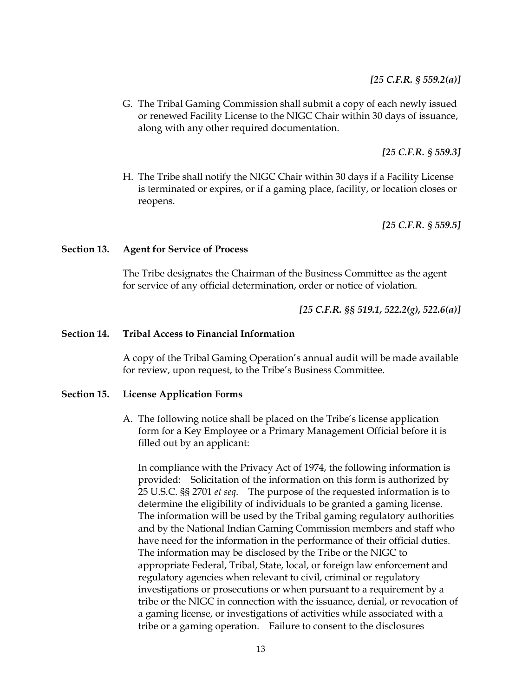# *[25 C.F.R. § 559.2(a)]*

G. The Tribal Gaming Commission shall submit a copy of each newly issued or renewed Facility License to the NIGC Chair within 30 days of issuance, along with any other required documentation.

 *[25 C.F.R. § 559.3]* 

H. The Tribe shall notify the NIGC Chair within 30 days if a Facility License is terminated or expires, or if a gaming place, facility, or location closes or reopens.

 *[25 C.F.R. § 559.5]* 

#### **Section 13. Agent for Service of Process**

The Tribe designates the Chairman of the Business Committee as the agent for service of any official determination, order or notice of violation.

*[25 C.F.R. §§ 519.1, 522.2(g), 522.6(a)]* 

#### **Section 14. Tribal Access to Financial Information**

A copy of the Tribal Gaming Operation's annual audit will be made available for review, upon request, to the Tribe's Business Committee.

#### **Section 15. License Application Forms**

A. The following notice shall be placed on the Tribe's license application form for a Key Employee or a Primary Management Official before it is filled out by an applicant:

In compliance with the Privacy Act of 1974, the following information is provided: Solicitation of the information on this form is authorized by 25 U.S.C. §§ 2701 *et seq*. The purpose of the requested information is to determine the eligibility of individuals to be granted a gaming license. The information will be used by the Tribal gaming regulatory authorities and by the National Indian Gaming Commission members and staff who have need for the information in the performance of their official duties. The information may be disclosed by the Tribe or the NIGC to appropriate Federal, Tribal, State, local, or foreign law enforcement and regulatory agencies when relevant to civil, criminal or regulatory investigations or prosecutions or when pursuant to a requirement by a tribe or the NIGC in connection with the issuance, denial, or revocation of a gaming license, or investigations of activities while associated with a tribe or a gaming operation. Failure to consent to the disclosures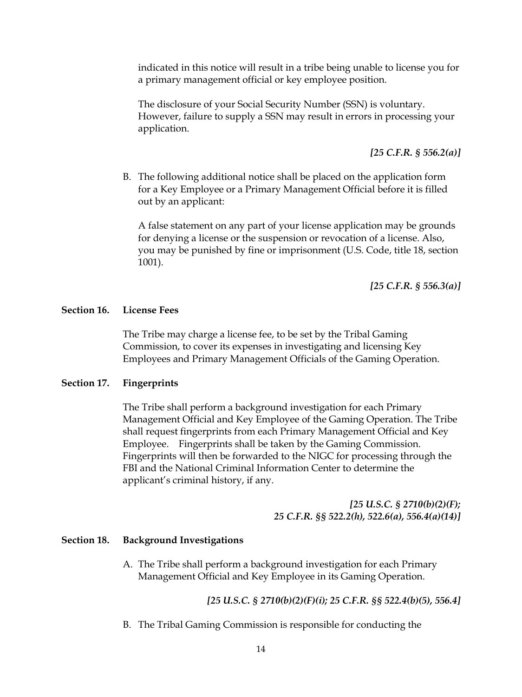indicated in this notice will result in a tribe being unable to license you for a primary management official or key employee position.

The disclosure of your Social Security Number (SSN) is voluntary. However, failure to supply a SSN may result in errors in processing your application.

*[25 C.F.R. § 556.2(a)]* 

B. The following additional notice shall be placed on the application form for a Key Employee or a Primary Management Official before it is filled out by an applicant:

A false statement on any part of your license application may be grounds for denying a license or the suspension or revocation of a license. Also, you may be punished by fine or imprisonment (U.S. Code, title 18, section 1001).

*[25 C.F.R. § 556.3(a)]* 

## **Section 16. License Fees**

The Tribe may charge a license fee, to be set by the Tribal Gaming Commission, to cover its expenses in investigating and licensing Key Employees and Primary Management Officials of the Gaming Operation.

# **Section 17. Fingerprints**

The Tribe shall perform a background investigation for each Primary Management Official and Key Employee of the Gaming Operation. The Tribe shall request fingerprints from each Primary Management Official and Key Employee. Fingerprints shall be taken by the Gaming Commission. Fingerprints will then be forwarded to the NIGC for processing through the FBI and the National Criminal Information Center to determine the applicant's criminal history, if any.

> *[25 U.S.C. § 2710(b)(2)(F); 25 C.F.R. §§ 522.2(h), 522.6(a), 556.4(a)(14)]*

#### **Section 18. Background Investigations**

A. The Tribe shall perform a background investigation for each Primary Management Official and Key Employee in its Gaming Operation.

*[25 U.S.C. § 2710(b)(2)(F)(i); 25 C.F.R. §§ 522.4(b)(5), 556.4]* 

B. The Tribal Gaming Commission is responsible for conducting the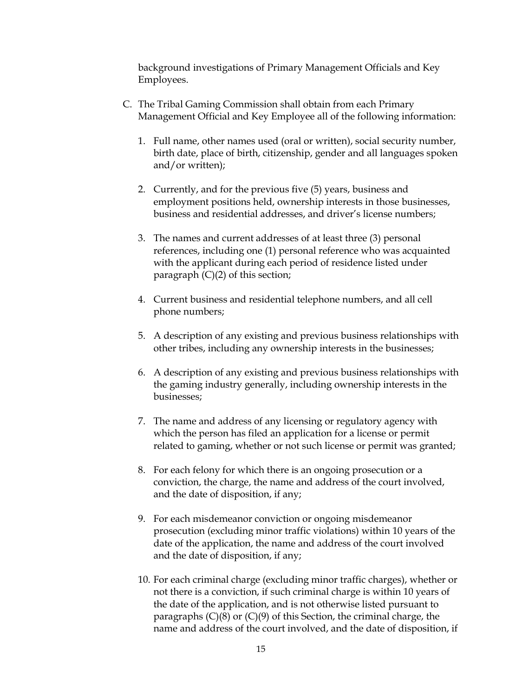background investigations of Primary Management Officials and Key Employees.

- C. The Tribal Gaming Commission shall obtain from each Primary Management Official and Key Employee all of the following information:
	- 1. Full name, other names used (oral or written), social security number, birth date, place of birth, citizenship, gender and all languages spoken and/or written);
	- 2. Currently, and for the previous five (5) years, business and employment positions held, ownership interests in those businesses, business and residential addresses, and driver's license numbers;
	- 3. The names and current addresses of at least three (3) personal references, including one (1) personal reference who was acquainted with the applicant during each period of residence listed under paragraph  $(C)(2)$  of this section;
	- 4. Current business and residential telephone numbers, and all cell phone numbers;
	- 5. A description of any existing and previous business relationships with other tribes, including any ownership interests in the businesses;
	- 6. A description of any existing and previous business relationships with the gaming industry generally, including ownership interests in the businesses;
	- 7. The name and address of any licensing or regulatory agency with which the person has filed an application for a license or permit related to gaming, whether or not such license or permit was granted;
	- 8. For each felony for which there is an ongoing prosecution or a conviction, the charge, the name and address of the court involved, and the date of disposition, if any;
	- 9. For each misdemeanor conviction or ongoing misdemeanor prosecution (excluding minor traffic violations) within 10 years of the date of the application, the name and address of the court involved and the date of disposition, if any;
	- 10. For each criminal charge (excluding minor traffic charges), whether or not there is a conviction, if such criminal charge is within 10 years of the date of the application, and is not otherwise listed pursuant to paragraphs  $(C)(8)$  or  $(C)(9)$  of this Section, the criminal charge, the name and address of the court involved, and the date of disposition, if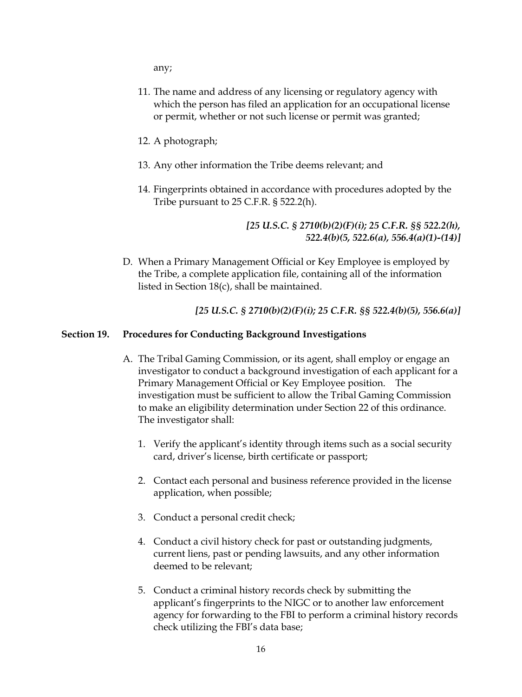any;

- 11. The name and address of any licensing or regulatory agency with which the person has filed an application for an occupational license or permit, whether or not such license or permit was granted;
- 12. A photograph;
- 13. Any other information the Tribe deems relevant; and
- 14. Fingerprints obtained in accordance with procedures adopted by the Tribe pursuant to 25 C.F.R. § 522.2(h).

*[25 U.S.C. § 2710(b)(2)(F)(i); 25 C.F.R. §§ 522.2(h), 522.4(b)(5, 522.6(a), 556.4(a)(1)-(14)]* 

D. When a Primary Management Official or Key Employee is employed by the Tribe, a complete application file, containing all of the information listed in Section 18(c), shall be maintained.

 *[25 U.S.C. § 2710(b)(2)(F)(i); 25 C.F.R. §§ 522.4(b)(5), 556.6(a)]* 

#### **Section 19. Procedures for Conducting Background Investigations**

- A. The Tribal Gaming Commission, or its agent, shall employ or engage an investigator to conduct a background investigation of each applicant for a Primary Management Official or Key Employee position. The investigation must be sufficient to allow the Tribal Gaming Commission to make an eligibility determination under Section 22 of this ordinance. The investigator shall:
	- 1. Verify the applicant's identity through items such as a social security card, driver's license, birth certificate or passport;
	- 2. Contact each personal and business reference provided in the license application, when possible;
	- 3. Conduct a personal credit check;
	- 4. Conduct a civil history check for past or outstanding judgments, current liens, past or pending lawsuits, and any other information deemed to be relevant;
	- 5. Conduct a criminal history records check by submitting the applicant's fingerprints to the NIGC or to another law enforcement agency for forwarding to the FBI to perform a criminal history records check utilizing the FBI's data base;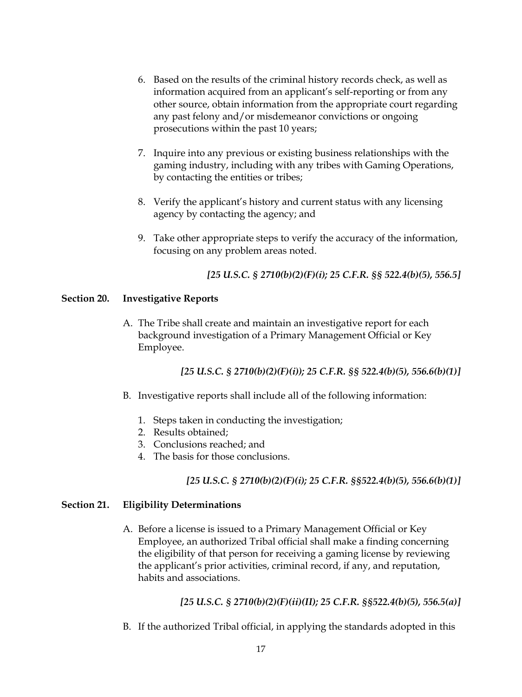- 6. Based on the results of the criminal history records check, as well as information acquired from an applicant's self-reporting or from any other source, obtain information from the appropriate court regarding any past felony and/or misdemeanor convictions or ongoing prosecutions within the past 10 years;
- 7. Inquire into any previous or existing business relationships with the gaming industry, including with any tribes with Gaming Operations, by contacting the entities or tribes;
- 8. Verify the applicant's history and current status with any licensing agency by contacting the agency; and
- 9. Take other appropriate steps to verify the accuracy of the information, focusing on any problem areas noted.

*[25 U.S.C. § 2710(b)(2)(F)(i); 25 C.F.R. §§ 522.4(b)(5), 556.5]* 

# **Section 20. Investigative Reports**

A. The Tribe shall create and maintain an investigative report for each background investigation of a Primary Management Official or Key Employee.

# *[25 U.S.C. § 2710(b)(2)(F)(i)); 25 C.F.R. §§ 522.4(b)(5), 556.6(b)(1)]*

- B. Investigative reports shall include all of the following information:
	- 1. Steps taken in conducting the investigation;
	- 2. Results obtained;
	- 3. Conclusions reached; and
	- 4. The basis for those conclusions.

# *[25 U.S.C. § 2710(b)(2)(F)(i); 25 C.F.R. §§522.4(b)(5), 556.6(b)(1)]*

# **Section 21. Eligibility Determinations**

A. Before a license is issued to a Primary Management Official or Key Employee, an authorized Tribal official shall make a finding concerning the eligibility of that person for receiving a gaming license by reviewing the applicant's prior activities, criminal record, if any, and reputation, habits and associations.

# *[25 U.S.C. § 2710(b)(2)(F)(ii)(II); 25 C.F.R. §§522.4(b)(5), 556.5(a)]*

B. If the authorized Tribal official, in applying the standards adopted in this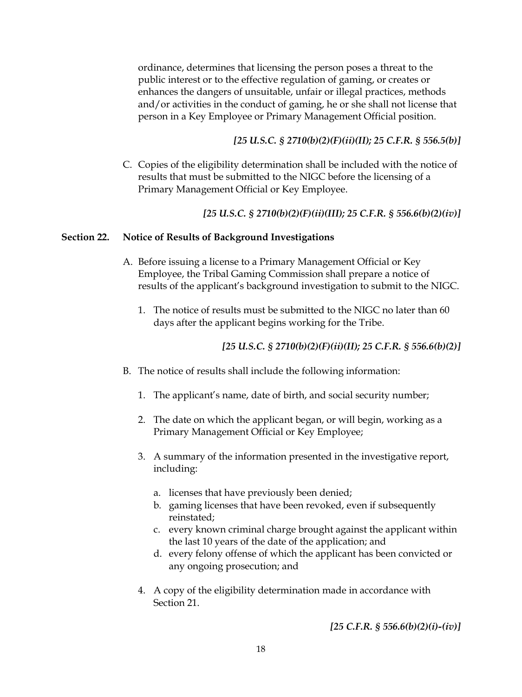ordinance, determines that licensing the person poses a threat to the public interest or to the effective regulation of gaming, or creates or enhances the dangers of unsuitable, unfair or illegal practices, methods and/or activities in the conduct of gaming, he or she shall not license that person in a Key Employee or Primary Management Official position.

# *[25 U.S.C. § 2710(b)(2)(F)(ii)(II); 25 C.F.R. § 556.5(b)]*

C. Copies of the eligibility determination shall be included with the notice of results that must be submitted to the NIGC before the licensing of a Primary Management Official or Key Employee.

# *[25 U.S.C. § 2710(b)(2)(F)(ii)(III); 25 C.F.R. § 556.6(b)(2)(iv)]*

## **Section 22. Notice of Results of Background Investigations**

- A. Before issuing a license to a Primary Management Official or Key Employee, the Tribal Gaming Commission shall prepare a notice of results of the applicant's background investigation to submit to the NIGC.
	- 1. The notice of results must be submitted to the NIGC no later than 60 days after the applicant begins working for the Tribe.

# *[25 U.S.C. § 2710(b)(2)(F)(ii)(II); 25 C.F.R. § 556.6(b)(2)]*

- B. The notice of results shall include the following information:
	- 1. The applicant's name, date of birth, and social security number;
	- 2. The date on which the applicant began, or will begin, working as a Primary Management Official or Key Employee;
	- 3. A summary of the information presented in the investigative report, including:
		- a. licenses that have previously been denied;
		- b. gaming licenses that have been revoked, even if subsequently reinstated;
		- c. every known criminal charge brought against the applicant within the last 10 years of the date of the application; and
		- d. every felony offense of which the applicant has been convicted or any ongoing prosecution; and
	- 4. A copy of the eligibility determination made in accordance with Section 21.

*[25 C.F.R. § 556.6(b)(2)(i)-(iv)]*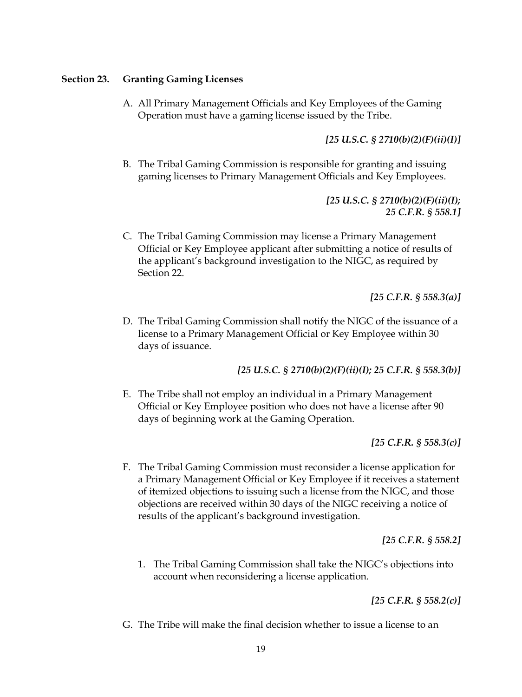### **Section 23. Granting Gaming Licenses**

A. All Primary Management Officials and Key Employees of the Gaming Operation must have a gaming license issued by the Tribe.

# *[25 U.S.C. § 2710(b)(2)(F)(ii)(I)]*

B. The Tribal Gaming Commission is responsible for granting and issuing gaming licenses to Primary Management Officials and Key Employees.

> *[25 U.S.C. § 2710(b)(2)(F)(ii)(I); 25 C.F.R. § 558.1]*

C. The Tribal Gaming Commission may license a Primary Management Official or Key Employee applicant after submitting a notice of results of the applicant's background investigation to the NIGC, as required by Section 22.

*[25 C.F.R. § 558.3(a)]* 

D. The Tribal Gaming Commission shall notify the NIGC of the issuance of a license to a Primary Management Official or Key Employee within 30 days of issuance.

*[25 U.S.C. § 2710(b)(2)(F)(ii)(I); 25 C.F.R. § 558.3(b)]* 

E. The Tribe shall not employ an individual in a Primary Management Official or Key Employee position who does not have a license after 90 days of beginning work at the Gaming Operation.

*[25 C.F.R. § 558.3(c)]* 

F. The Tribal Gaming Commission must reconsider a license application for a Primary Management Official or Key Employee if it receives a statement of itemized objections to issuing such a license from the NIGC, and those objections are received within 30 days of the NIGC receiving a notice of results of the applicant's background investigation.

*[25 C.F.R. § 558.2]*

1. The Tribal Gaming Commission shall take the NIGC's objections into account when reconsidering a license application.

*[25 C.F.R. § 558.2(c)]* 

G. The Tribe will make the final decision whether to issue a license to an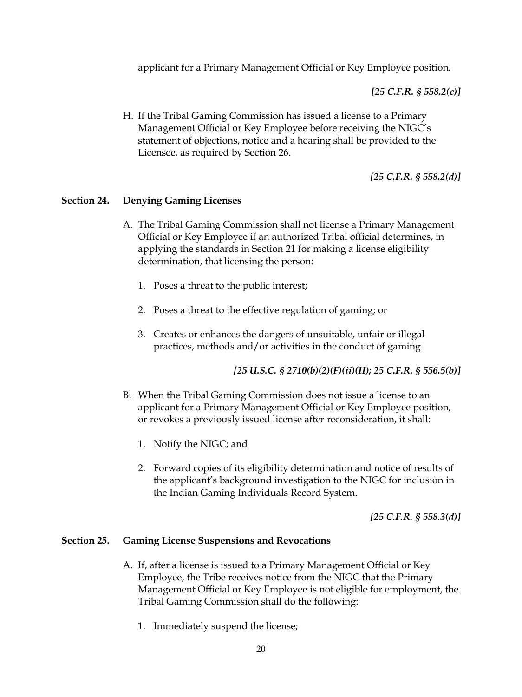applicant for a Primary Management Official or Key Employee position.

*[25 C.F.R. § 558.2(c)]* 

H. If the Tribal Gaming Commission has issued a license to a Primary Management Official or Key Employee before receiving the NIGC's statement of objections, notice and a hearing shall be provided to the Licensee, as required by Section 26.

*[25 C.F.R. § 558.2(d)]* 

#### **Section 24. Denying Gaming Licenses**

- A. The Tribal Gaming Commission shall not license a Primary Management Official or Key Employee if an authorized Tribal official determines, in applying the standards in Section 21 for making a license eligibility determination, that licensing the person:
	- 1. Poses a threat to the public interest;
	- 2. Poses a threat to the effective regulation of gaming; or
	- 3. Creates or enhances the dangers of unsuitable, unfair or illegal practices, methods and/or activities in the conduct of gaming.

*[25 U.S.C. § 2710(b)(2)(F)(ii)(II); 25 C.F.R. § 556.5(b)]* 

- B. When the Tribal Gaming Commission does not issue a license to an applicant for a Primary Management Official or Key Employee position, or revokes a previously issued license after reconsideration, it shall:
	- 1. Notify the NIGC; and
	- 2. Forward copies of its eligibility determination and notice of results of the applicant's background investigation to the NIGC for inclusion in the Indian Gaming Individuals Record System.

*[25 C.F.R. § 558.3(d)]* 

#### **Section 25. Gaming License Suspensions and Revocations**

- A. If, after a license is issued to a Primary Management Official or Key Employee, the Tribe receives notice from the NIGC that the Primary Management Official or Key Employee is not eligible for employment, the Tribal Gaming Commission shall do the following:
	- 1. Immediately suspend the license;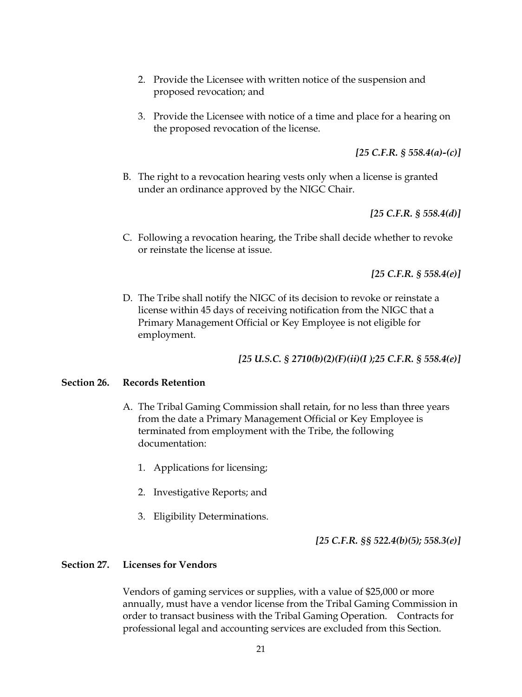- 2. Provide the Licensee with written notice of the suspension and proposed revocation; and
- 3. Provide the Licensee with notice of a time and place for a hearing on the proposed revocation of the license.

*[25 C.F.R. § 558.4(a)-(c)]* 

B. The right to a revocation hearing vests only when a license is granted under an ordinance approved by the NIGC Chair.

*[25 C.F.R. § 558.4(d)]* 

C. Following a revocation hearing, the Tribe shall decide whether to revoke or reinstate the license at issue.

*[25 C.F.R. § 558.4(e)]* 

D. The Tribe shall notify the NIGC of its decision to revoke or reinstate a license within 45 days of receiving notification from the NIGC that a Primary Management Official or Key Employee is not eligible for employment.

*[25 U.S.C. § 2710(b)(2)(F)(ii)(I );25 C.F.R. § 558.4(e)]* 

#### **Section 26. Records Retention**

- A. The Tribal Gaming Commission shall retain, for no less than three years from the date a Primary Management Official or Key Employee is terminated from employment with the Tribe, the following documentation:
	- 1. Applications for licensing;
	- 2. Investigative Reports; and
	- 3. Eligibility Determinations.

*[25 C.F.R. §§ 522.4(b)(5); 558.3(e)]* 

#### **Section 27. Licenses for Vendors**

Vendors of gaming services or supplies, with a value of \$25,000 or more annually, must have a vendor license from the Tribal Gaming Commission in order to transact business with the Tribal Gaming Operation. Contracts for professional legal and accounting services are excluded from this Section.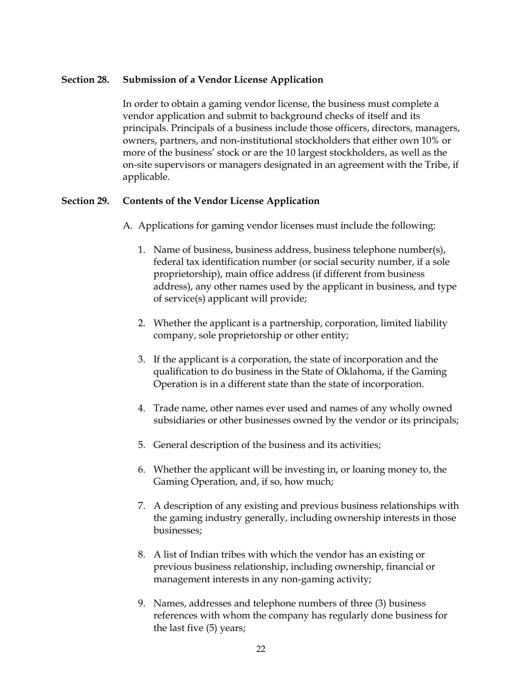### **Section 28. Submission of a Vendor License Application**

In order to obtain a gaming vendor license, the business must complete a vendor application and submit to background checks of itself and its principals. Principals of a business include those officers, directors, managers, owners, partners, and non-institutional stockholders that either own 10% or more of the business' stock or are the 10 largest stockholders, as well as the on-site supervisors or managers designated in an agreement with the Tribe, if applicable.

## **Section 29. Contents of the Vendor License Application**

- A. Applications for gaming vendor licenses must include the following:
	- 1. Name of business, business address, business telephone number(s), federal tax identification number (or social security number, if a sole proprietorship), main office address (if different from business address), any other names used by the applicant in business, and type of service(s) applicant will provide;
	- 2. Whether the applicant is a partnership, corporation, limited liability company, sole proprietorship or other entity;
	- 3. If the applicant is a corporation, the state of incorporation and the qualification to do business in the State of Oklahoma, if the Gaming Operation is in a different state than the state of incorporation.
	- 4. Trade name, other names ever used and names of any wholly owned subsidiaries or other businesses owned by the vendor or its principals;
	- 5. General description of the business and its activities;
	- 6. Whether the applicant will be investing in, or loaning money to, the Gaming Operation, and, if so, how much;
	- 7. A description of any existing and previous business relationships with the gaming industry generally, including ownership interests in those businesses;
	- 8. A list of Indian tribes with which the vendor has an existing or previous business relationship, including ownership, financial or management interests in any non-gaming activity;
	- 9. Names, addresses and telephone numbers of three (3) business references with whom the company has regularly done business for the last five (5) years;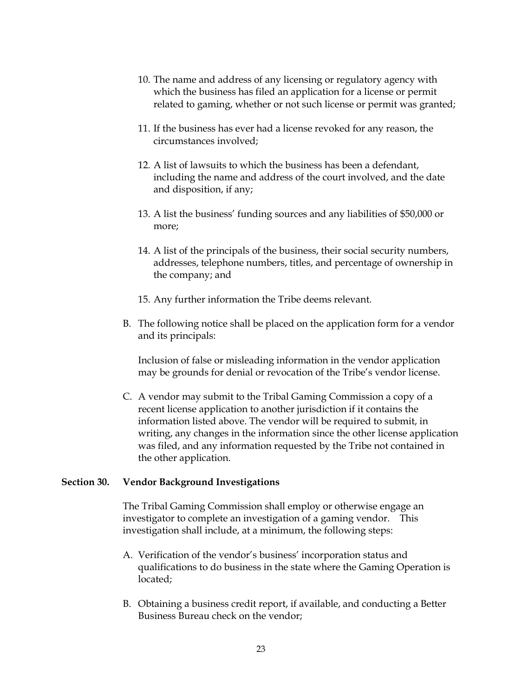- 10. The name and address of any licensing or regulatory agency with which the business has filed an application for a license or permit related to gaming, whether or not such license or permit was granted;
- 11. If the business has ever had a license revoked for any reason, the circumstances involved;
- 12. A list of lawsuits to which the business has been a defendant, including the name and address of the court involved, and the date and disposition, if any;
- 13. A list the business' funding sources and any liabilities of \$50,000 or more;
- 14. A list of the principals of the business, their social security numbers, addresses, telephone numbers, titles, and percentage of ownership in the company; and
- 15. Any further information the Tribe deems relevant.
- B. The following notice shall be placed on the application form for a vendor and its principals:

Inclusion of false or misleading information in the vendor application may be grounds for denial or revocation of the Tribe's vendor license.

C. A vendor may submit to the Tribal Gaming Commission a copy of a recent license application to another jurisdiction if it contains the information listed above. The vendor will be required to submit, in writing, any changes in the information since the other license application was filed, and any information requested by the Tribe not contained in the other application.

# **Section 30. Vendor Background Investigations**

The Tribal Gaming Commission shall employ or otherwise engage an investigator to complete an investigation of a gaming vendor. This investigation shall include, at a minimum, the following steps:

- A. Verification of the vendor's business' incorporation status and qualifications to do business in the state where the Gaming Operation is located;
- B. Obtaining a business credit report, if available, and conducting a Better Business Bureau check on the vendor;